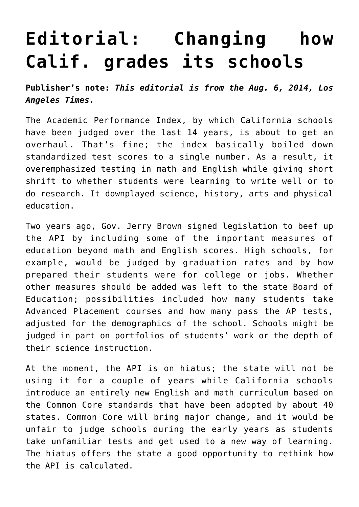## **[Editorial: Changing how](https://www.laketahoenews.net/2014/08/editorial-changing-how-calif-grades-its-schools/) [Calif. grades its schools](https://www.laketahoenews.net/2014/08/editorial-changing-how-calif-grades-its-schools/)**

**Publisher's note:** *This editorial is from the Aug. 6, 2014, Los Angeles Times.*

The Academic Performance Index, by which California schools have been judged over the last 14 years, is about to get an overhaul. That's fine; the index basically boiled down standardized test scores to a single number. As a result, it overemphasized testing in math and English while giving short shrift to whether students were learning to write well or to do research. It downplayed science, history, arts and physical education.

Two years ago, Gov. Jerry Brown signed legislation to beef up the API by including some of the important measures of education beyond math and English scores. High schools, for example, would be judged by graduation rates and by how prepared their students were for college or jobs. Whether other measures should be added was left to the state Board of Education; possibilities included how many students take Advanced Placement courses and how many pass the AP tests, adjusted for the demographics of the school. Schools might be judged in part on portfolios of students' work or the depth of their science instruction.

At the moment, the API is on hiatus; the state will not be using it for a couple of years while California schools introduce an entirely new English and math curriculum based on the Common Core standards that have been adopted by about 40 states. Common Core will bring major change, and it would be unfair to judge schools during the early years as students take unfamiliar tests and get used to a new way of learning. The hiatus offers the state a good opportunity to rethink how the API is calculated.